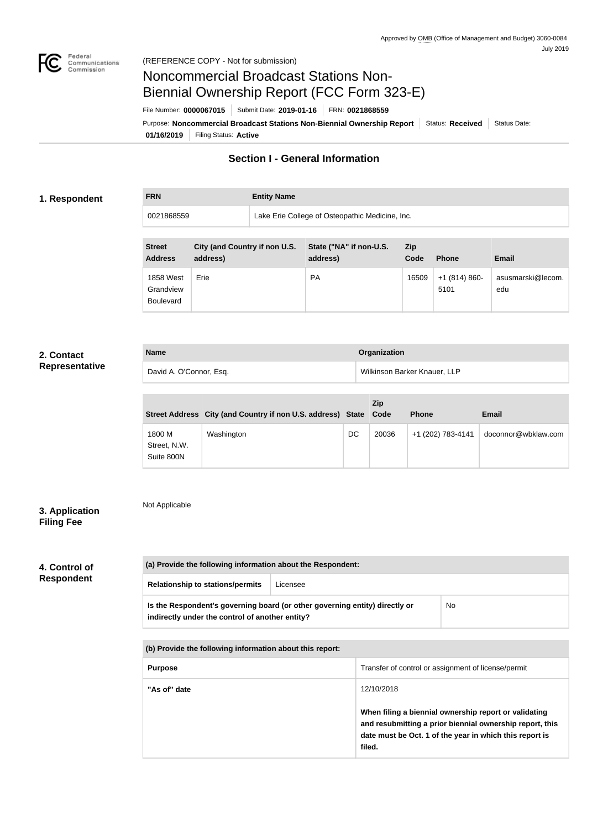

#### (REFERENCE COPY - Not for submission)

# Noncommercial Broadcast Stations Non-Biennial Ownership Report (FCC Form 323-E)

File Number: **0000067015** Submit Date: **2019-01-16** FRN: **0021868559**

**01/16/2019** Filing Status: **Active** Purpose: Noncommercial Broadcast Stations Non-Biennial Ownership Report Status: Received Status Date:

## **Section I - General Information**

#### **1. Respondent**

**FRN Entity Name**

0021868559 Lake Erie College of Osteopathic Medicine, Inc.

| <b>Street</b><br><b>Address</b>            | City (and Country if non U.S.<br>address) | State ("NA" if non-U.S.<br>address) | Zip<br>Code | <b>Phone</b>          | <b>Email</b>             |
|--------------------------------------------|-------------------------------------------|-------------------------------------|-------------|-----------------------|--------------------------|
| 1858 West<br>Grandview<br><b>Boulevard</b> | Erie                                      | <b>PA</b>                           | 16509       | $+1(814)860-$<br>5101 | asusmarski@lecom.<br>edu |

### **2. Contact Representative**

| <b>Name</b>             | Organization                 |
|-------------------------|------------------------------|
| David A. O'Connor, Esq. | Wilkinson Barker Knauer, LLP |

|                                      | Street Address City (and Country if non U.S. address) State Code |    | Zip   | <b>Phone</b>      | Email               |
|--------------------------------------|------------------------------------------------------------------|----|-------|-------------------|---------------------|
| 1800 M<br>Street, N.W.<br>Suite 800N | Washington                                                       | DC | 20036 | +1 (202) 783-4141 | doconnor@wbklaw.com |

### **3. Application Filing Fee**

Not Applicable

## **4. Control of Respondent**

| (a) Provide the following information about the Respondent:                                                                    |          |    |  |  |
|--------------------------------------------------------------------------------------------------------------------------------|----------|----|--|--|
| <b>Relationship to stations/permits</b>                                                                                        | Licensee |    |  |  |
| Is the Respondent's governing board (or other governing entity) directly or<br>indirectly under the control of another entity? |          | No |  |  |

**(b) Provide the following information about this report:**

| <b>Purpose</b> | Transfer of control or assignment of license/permit                                                                                                                                    |
|----------------|----------------------------------------------------------------------------------------------------------------------------------------------------------------------------------------|
| "As of" date   | 12/10/2018                                                                                                                                                                             |
|                | When filing a biennial ownership report or validating<br>and resubmitting a prior biennial ownership report, this<br>date must be Oct. 1 of the year in which this report is<br>filed. |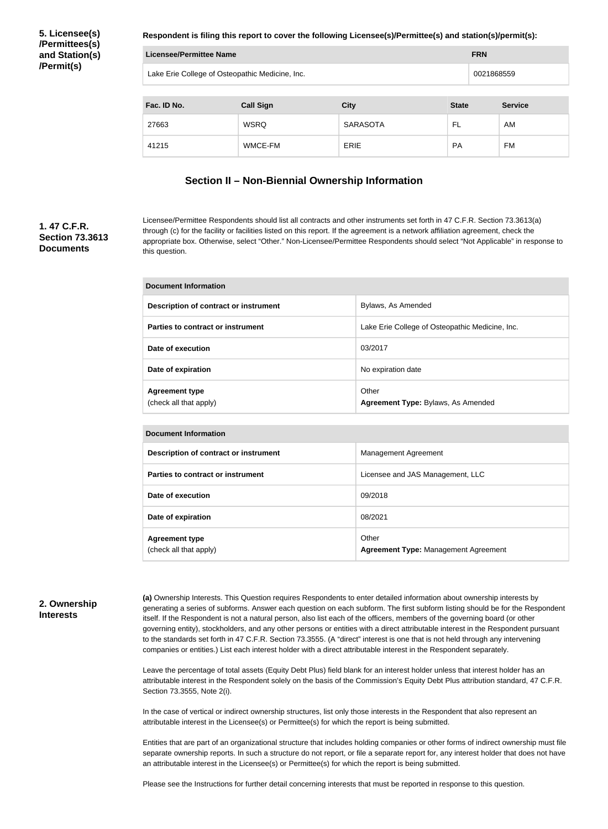**5. Licensee(s) /Permittees(s) and Station(s) /Permit(s)**

**Respondent is filing this report to cover the following Licensee(s)/Permittee(s) and station(s)/permit(s):**

| Licensee/Permittee Name                                        |         |                 |           | <b>FRN</b> |                |
|----------------------------------------------------------------|---------|-----------------|-----------|------------|----------------|
| Lake Erie College of Osteopathic Medicine, Inc.                |         |                 |           | 0021868559 |                |
| Fac. ID No.<br><b>City</b><br><b>Call Sign</b><br><b>State</b> |         |                 |           |            | <b>Service</b> |
| 27663                                                          | WSRQ    | <b>SARASOTA</b> | FL        |            | AM             |
| 41215                                                          | WMCE-FM | ERIE            | <b>PA</b> |            | FM             |

#### **Section II – Non-Biennial Ownership Information**

#### **1. 47 C.F.R. Section 73.3613 Documents**

Licensee/Permittee Respondents should list all contracts and other instruments set forth in 47 C.F.R. Section 73.3613(a) through (c) for the facility or facilities listed on this report. If the agreement is a network affiliation agreement, check the appropriate box. Otherwise, select "Other." Non-Licensee/Permittee Respondents should select "Not Applicable" in response to this question.

| Document Information                            |                                                 |  |  |
|-------------------------------------------------|-------------------------------------------------|--|--|
| Description of contract or instrument           | Bylaws, As Amended                              |  |  |
| Parties to contract or instrument               | Lake Erie College of Osteopathic Medicine, Inc. |  |  |
| Date of execution                               | 03/2017                                         |  |  |
| Date of expiration                              | No expiration date                              |  |  |
| <b>Agreement type</b><br>(check all that apply) | Other<br>Agreement Type: Bylaws, As Amended     |  |  |

| <b>Document Information</b>                     |                                                      |  |  |
|-------------------------------------------------|------------------------------------------------------|--|--|
| Description of contract or instrument           | Management Agreement                                 |  |  |
| Parties to contract or instrument               | Licensee and JAS Management, LLC                     |  |  |
| Date of execution                               | 09/2018                                              |  |  |
| Date of expiration                              | 08/2021                                              |  |  |
| <b>Agreement type</b><br>(check all that apply) | Other<br><b>Agreement Type: Management Agreement</b> |  |  |

#### **2. Ownership Interests**

**(a)** Ownership Interests. This Question requires Respondents to enter detailed information about ownership interests by generating a series of subforms. Answer each question on each subform. The first subform listing should be for the Respondent itself. If the Respondent is not a natural person, also list each of the officers, members of the governing board (or other governing entity), stockholders, and any other persons or entities with a direct attributable interest in the Respondent pursuant to the standards set forth in 47 C.F.R. Section 73.3555. (A "direct" interest is one that is not held through any intervening companies or entities.) List each interest holder with a direct attributable interest in the Respondent separately.

Leave the percentage of total assets (Equity Debt Plus) field blank for an interest holder unless that interest holder has an attributable interest in the Respondent solely on the basis of the Commission's Equity Debt Plus attribution standard, 47 C.F.R. Section 73.3555, Note 2(i).

In the case of vertical or indirect ownership structures, list only those interests in the Respondent that also represent an attributable interest in the Licensee(s) or Permittee(s) for which the report is being submitted.

Entities that are part of an organizational structure that includes holding companies or other forms of indirect ownership must file separate ownership reports. In such a structure do not report, or file a separate report for, any interest holder that does not have an attributable interest in the Licensee(s) or Permittee(s) for which the report is being submitted.

Please see the Instructions for further detail concerning interests that must be reported in response to this question.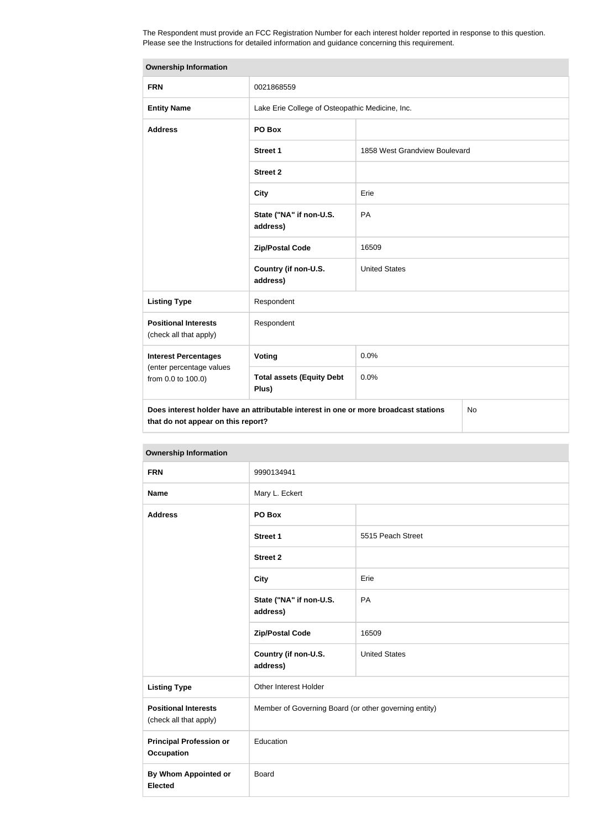The Respondent must provide an FCC Registration Number for each interest holder reported in response to this question. Please see the Instructions for detailed information and guidance concerning this requirement.

| <b>Ownership Information</b>                                                                                                     |                                                 |                               |  |  |
|----------------------------------------------------------------------------------------------------------------------------------|-------------------------------------------------|-------------------------------|--|--|
| <b>FRN</b>                                                                                                                       | 0021868559                                      |                               |  |  |
| <b>Entity Name</b>                                                                                                               | Lake Erie College of Osteopathic Medicine, Inc. |                               |  |  |
| <b>Address</b>                                                                                                                   | PO Box                                          |                               |  |  |
|                                                                                                                                  | <b>Street 1</b>                                 | 1858 West Grandview Boulevard |  |  |
|                                                                                                                                  | <b>Street 2</b>                                 |                               |  |  |
|                                                                                                                                  | <b>City</b>                                     | Erie                          |  |  |
|                                                                                                                                  | State ("NA" if non-U.S.<br>address)             | PA                            |  |  |
|                                                                                                                                  | <b>Zip/Postal Code</b>                          | 16509                         |  |  |
|                                                                                                                                  | Country (if non-U.S.<br>address)                | <b>United States</b>          |  |  |
| <b>Listing Type</b>                                                                                                              | Respondent                                      |                               |  |  |
| <b>Positional Interests</b><br>(check all that apply)                                                                            | Respondent                                      |                               |  |  |
| <b>Interest Percentages</b>                                                                                                      | Voting                                          | 0.0%                          |  |  |
| (enter percentage values<br>from 0.0 to 100.0)                                                                                   | <b>Total assets (Equity Debt</b><br>Plus)       | 0.0%                          |  |  |
| Does interest holder have an attributable interest in one or more broadcast stations<br>No<br>that do not appear on this report? |                                                 |                               |  |  |

| <b>Ownership Information</b>                          |                                                       |                      |  |  |
|-------------------------------------------------------|-------------------------------------------------------|----------------------|--|--|
| <b>FRN</b>                                            | 9990134941                                            |                      |  |  |
| <b>Name</b>                                           | Mary L. Eckert                                        |                      |  |  |
| <b>Address</b>                                        | PO Box                                                |                      |  |  |
|                                                       | <b>Street 1</b>                                       | 5515 Peach Street    |  |  |
|                                                       | <b>Street 2</b>                                       |                      |  |  |
|                                                       | <b>City</b>                                           | Erie                 |  |  |
|                                                       | State ("NA" if non-U.S.<br>address)                   | PA                   |  |  |
|                                                       | <b>Zip/Postal Code</b>                                | 16509                |  |  |
|                                                       | Country (if non-U.S.<br>address)                      | <b>United States</b> |  |  |
| <b>Listing Type</b>                                   | Other Interest Holder                                 |                      |  |  |
| <b>Positional Interests</b><br>(check all that apply) | Member of Governing Board (or other governing entity) |                      |  |  |
| <b>Principal Profession or</b><br><b>Occupation</b>   | Education                                             |                      |  |  |
| <b>By Whom Appointed or</b><br><b>Elected</b>         | <b>Board</b>                                          |                      |  |  |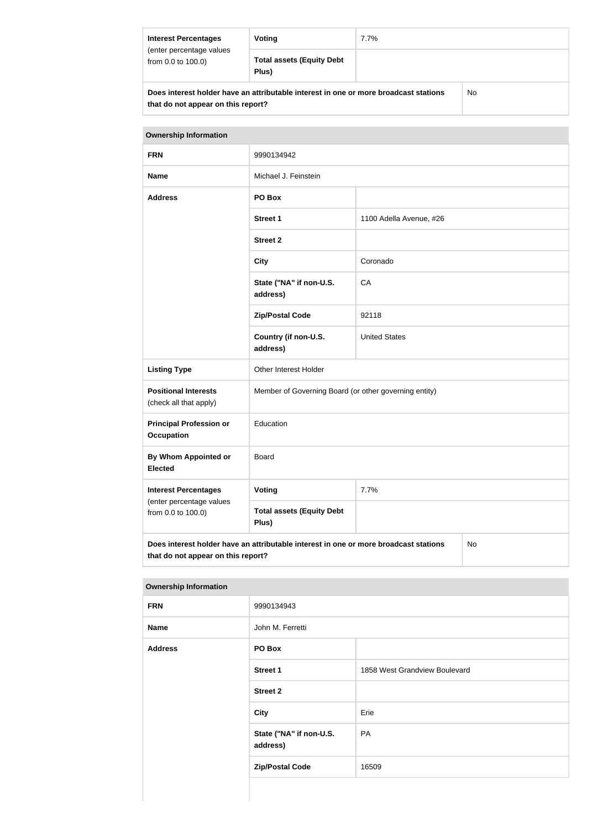| <b>Interest Percentages</b><br>(enter percentage values<br>from 0.0 to 100.0)                                                     | Voting                                    | $7.7\%$ |  |  |
|-----------------------------------------------------------------------------------------------------------------------------------|-------------------------------------------|---------|--|--|
|                                                                                                                                   | <b>Total assets (Equity Debt</b><br>Plus) |         |  |  |
| Does interest holder have an attributable interest in one or more broadcast stations<br>No.<br>that do not appear on this report? |                                           |         |  |  |

| <b>Ownership Information</b>                                                                                                     |                                                       |                         |  |  |
|----------------------------------------------------------------------------------------------------------------------------------|-------------------------------------------------------|-------------------------|--|--|
| <b>FRN</b>                                                                                                                       | 9990134942                                            |                         |  |  |
| <b>Name</b>                                                                                                                      | Michael J. Feinstein                                  |                         |  |  |
| <b>Address</b>                                                                                                                   | PO Box                                                |                         |  |  |
|                                                                                                                                  | <b>Street 1</b>                                       | 1100 Adella Avenue, #26 |  |  |
|                                                                                                                                  | <b>Street 2</b>                                       |                         |  |  |
|                                                                                                                                  | <b>City</b>                                           | Coronado                |  |  |
|                                                                                                                                  | State ("NA" if non-U.S.<br>address)                   | CA                      |  |  |
|                                                                                                                                  | <b>Zip/Postal Code</b>                                | 92118                   |  |  |
|                                                                                                                                  | Country (if non-U.S.<br>address)                      | <b>United States</b>    |  |  |
| <b>Listing Type</b>                                                                                                              | Other Interest Holder                                 |                         |  |  |
| <b>Positional Interests</b><br>(check all that apply)                                                                            | Member of Governing Board (or other governing entity) |                         |  |  |
| <b>Principal Profession or</b><br><b>Occupation</b>                                                                              | Education                                             |                         |  |  |
| By Whom Appointed or<br><b>Elected</b>                                                                                           | <b>Board</b>                                          |                         |  |  |
| <b>Interest Percentages</b>                                                                                                      | Voting                                                | 7.7%                    |  |  |
| (enter percentage values<br>from 0.0 to 100.0)                                                                                   | <b>Total assets (Equity Debt</b><br>Plus)             |                         |  |  |
| Does interest holder have an attributable interest in one or more broadcast stations<br>No<br>that do not appear on this report? |                                                       |                         |  |  |

| <b>Ownership Information</b> |                                     |                               |
|------------------------------|-------------------------------------|-------------------------------|
| <b>FRN</b>                   | 9990134943                          |                               |
| <b>Name</b>                  | John M. Ferretti                    |                               |
| <b>Address</b>               | PO Box                              |                               |
|                              | <b>Street 1</b>                     | 1858 West Grandview Boulevard |
|                              | <b>Street 2</b>                     |                               |
|                              | <b>City</b>                         | Erie                          |
|                              | State ("NA" if non-U.S.<br>address) | PA                            |
|                              | <b>Zip/Postal Code</b>              | 16509                         |
|                              |                                     |                               |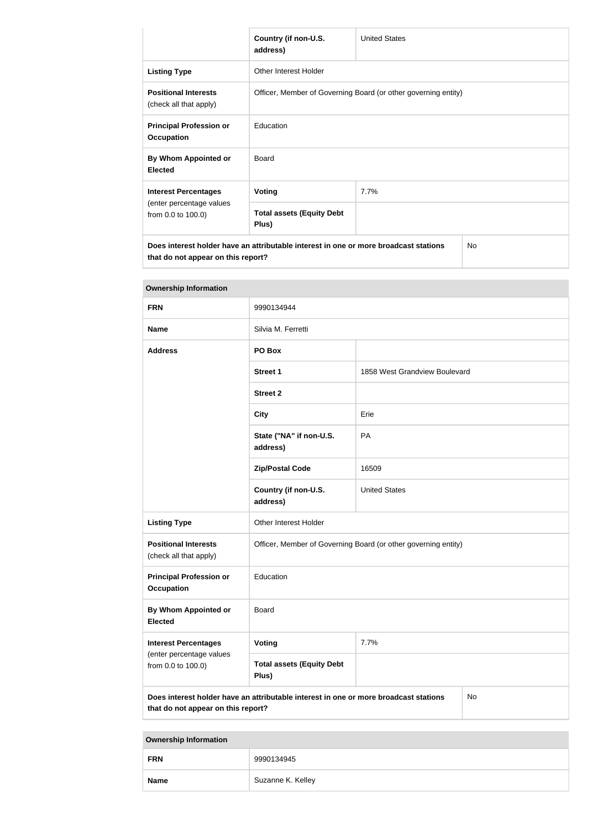|                                                       | Country (if non-U.S.<br>address)                                                     | <b>United States</b> |           |  |
|-------------------------------------------------------|--------------------------------------------------------------------------------------|----------------------|-----------|--|
| <b>Listing Type</b>                                   | Other Interest Holder                                                                |                      |           |  |
| <b>Positional Interests</b><br>(check all that apply) | Officer, Member of Governing Board (or other governing entity)                       |                      |           |  |
| <b>Principal Profession or</b><br><b>Occupation</b>   | Education                                                                            |                      |           |  |
| By Whom Appointed or<br><b>Elected</b>                | Board                                                                                |                      |           |  |
| <b>Interest Percentages</b>                           | Voting                                                                               | 7.7%                 |           |  |
| (enter percentage values<br>from 0.0 to 100.0)        | <b>Total assets (Equity Debt</b><br>Plus)                                            |                      |           |  |
| that do not appear on this report?                    | Does interest holder have an attributable interest in one or more broadcast stations |                      | <b>No</b> |  |

| <b>Ownership Information</b>                                                                                                     |                                                                |                               |  |
|----------------------------------------------------------------------------------------------------------------------------------|----------------------------------------------------------------|-------------------------------|--|
| <b>FRN</b>                                                                                                                       | 9990134944                                                     |                               |  |
| <b>Name</b>                                                                                                                      | Silvia M. Ferretti                                             |                               |  |
| <b>Address</b>                                                                                                                   | PO Box                                                         |                               |  |
|                                                                                                                                  | <b>Street 1</b>                                                | 1858 West Grandview Boulevard |  |
|                                                                                                                                  | <b>Street 2</b>                                                |                               |  |
|                                                                                                                                  | <b>City</b>                                                    | Erie                          |  |
|                                                                                                                                  | State ("NA" if non-U.S.<br>address)                            | PA                            |  |
|                                                                                                                                  | <b>Zip/Postal Code</b>                                         | 16509                         |  |
|                                                                                                                                  | Country (if non-U.S.<br>address)                               | <b>United States</b>          |  |
| <b>Listing Type</b>                                                                                                              | Other Interest Holder                                          |                               |  |
| <b>Positional Interests</b><br>(check all that apply)                                                                            | Officer, Member of Governing Board (or other governing entity) |                               |  |
| <b>Principal Profession or</b><br><b>Occupation</b>                                                                              | Education                                                      |                               |  |
| By Whom Appointed or<br><b>Elected</b>                                                                                           | Board                                                          |                               |  |
| <b>Interest Percentages</b><br>(enter percentage values<br>from 0.0 to 100.0)                                                    | Voting                                                         | 7.7%                          |  |
|                                                                                                                                  | <b>Total assets (Equity Debt</b><br>Plus)                      |                               |  |
| Does interest holder have an attributable interest in one or more broadcast stations<br>No<br>that do not appear on this report? |                                                                |                               |  |

**Ownership Information FRN** 9990134945 **Name** Suzanne K. Kelley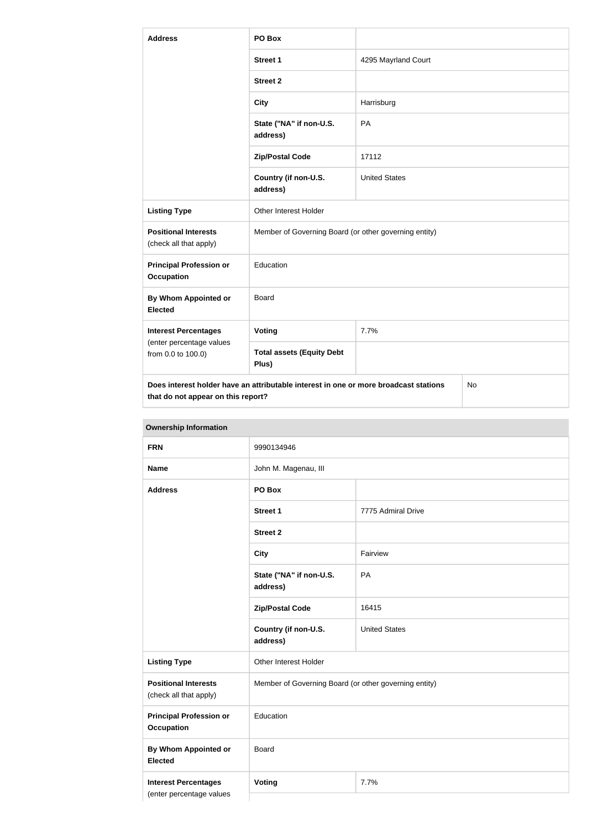| <b>Address</b>                                                                                                                          | PO Box                                                |                      |  |
|-----------------------------------------------------------------------------------------------------------------------------------------|-------------------------------------------------------|----------------------|--|
|                                                                                                                                         | Street 1                                              | 4295 Mayrland Court  |  |
|                                                                                                                                         | <b>Street 2</b>                                       |                      |  |
|                                                                                                                                         | <b>City</b>                                           | Harrisburg           |  |
|                                                                                                                                         | State ("NA" if non-U.S.<br>address)                   | PA                   |  |
|                                                                                                                                         | <b>Zip/Postal Code</b>                                | 17112                |  |
|                                                                                                                                         | Country (if non-U.S.<br>address)                      | <b>United States</b> |  |
| <b>Listing Type</b>                                                                                                                     | Other Interest Holder                                 |                      |  |
| <b>Positional Interests</b><br>(check all that apply)                                                                                   | Member of Governing Board (or other governing entity) |                      |  |
| <b>Principal Profession or</b><br><b>Occupation</b>                                                                                     | Education                                             |                      |  |
| <b>By Whom Appointed or</b><br><b>Elected</b>                                                                                           | <b>Board</b>                                          |                      |  |
| <b>Interest Percentages</b><br>(enter percentage values<br>from 0.0 to 100.0)                                                           | <b>Voting</b>                                         | 7.7%                 |  |
|                                                                                                                                         | <b>Total assets (Equity Debt</b><br>Plus)             |                      |  |
| Does interest holder have an attributable interest in one or more broadcast stations<br><b>No</b><br>that do not appear on this report? |                                                       |                      |  |

| <b>UWIIGI SHIP IHIUHIIIGUUH</b>                         |                                                       |                      |  |
|---------------------------------------------------------|-------------------------------------------------------|----------------------|--|
| <b>FRN</b>                                              | 9990134946                                            |                      |  |
| <b>Name</b>                                             | John M. Magenau, III                                  |                      |  |
| <b>Address</b>                                          | PO Box                                                |                      |  |
|                                                         | <b>Street 1</b>                                       | 7775 Admiral Drive   |  |
|                                                         | <b>Street 2</b>                                       |                      |  |
|                                                         | <b>City</b>                                           | Fairview             |  |
|                                                         | State ("NA" if non-U.S.<br>address)                   | PA                   |  |
|                                                         | <b>Zip/Postal Code</b>                                | 16415                |  |
|                                                         | Country (if non-U.S.<br>address)                      | <b>United States</b> |  |
| <b>Listing Type</b>                                     | Other Interest Holder                                 |                      |  |
| <b>Positional Interests</b><br>(check all that apply)   | Member of Governing Board (or other governing entity) |                      |  |
| <b>Principal Profession or</b><br><b>Occupation</b>     | Education                                             |                      |  |
| <b>By Whom Appointed or</b><br><b>Elected</b>           | <b>Board</b>                                          |                      |  |
| <b>Interest Percentages</b><br>(enter percentage values | <b>Voting</b><br>7.7%                                 |                      |  |

## **Ownership Information**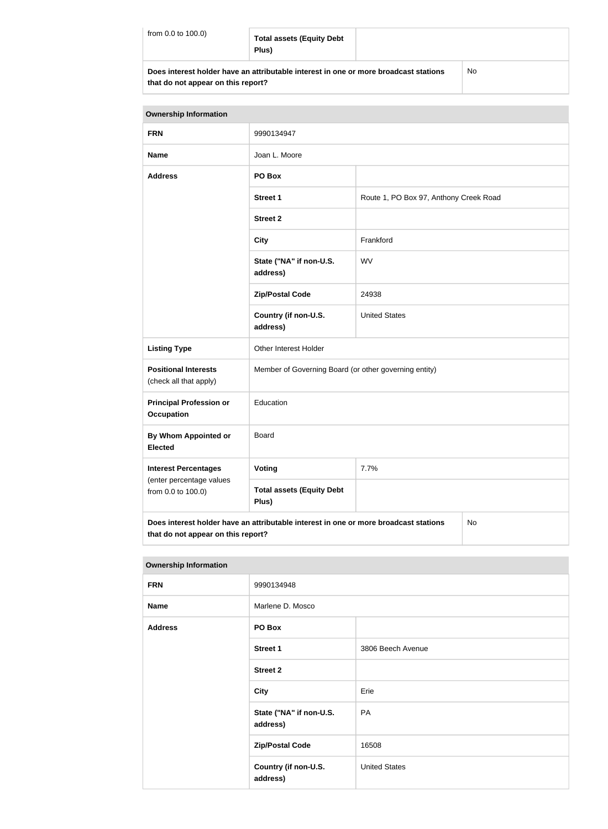#### **Total assets (Equity Debt Plus)**

**Does interest holder have an attributable interest in one or more broadcast stations that do not appear on this report?**

No

| <b>Ownership Information</b>                          |                                                                                      |                                        |  |
|-------------------------------------------------------|--------------------------------------------------------------------------------------|----------------------------------------|--|
| <b>FRN</b>                                            | 9990134947                                                                           |                                        |  |
| <b>Name</b>                                           | Joan L. Moore                                                                        |                                        |  |
| <b>Address</b>                                        | PO Box                                                                               |                                        |  |
|                                                       | <b>Street 1</b>                                                                      | Route 1, PO Box 97, Anthony Creek Road |  |
|                                                       | <b>Street 2</b>                                                                      |                                        |  |
|                                                       | <b>City</b>                                                                          | Frankford                              |  |
|                                                       | State ("NA" if non-U.S.<br>address)                                                  | WV                                     |  |
|                                                       | <b>Zip/Postal Code</b>                                                               | 24938                                  |  |
|                                                       | Country (if non-U.S.<br>address)                                                     | <b>United States</b>                   |  |
| <b>Listing Type</b>                                   | Other Interest Holder                                                                |                                        |  |
| <b>Positional Interests</b><br>(check all that apply) | Member of Governing Board (or other governing entity)                                |                                        |  |
| <b>Principal Profession or</b><br><b>Occupation</b>   | Education                                                                            |                                        |  |
| By Whom Appointed or<br><b>Elected</b>                | <b>Board</b>                                                                         |                                        |  |
| <b>Interest Percentages</b>                           | Voting                                                                               | 7.7%                                   |  |
| (enter percentage values<br>from 0.0 to 100.0)        | <b>Total assets (Equity Debt</b><br>Plus)                                            |                                        |  |
| that do not appear on this report?                    | Does interest holder have an attributable interest in one or more broadcast stations | No                                     |  |

**Ownership Information FRN** 9990134948 **Name** Marlene D. Mosco **Address PO Box Street 1** 3806 Beech Avenue **Street 2 City** Erie **State ("NA" if non-U.S. address)** PA **Zip/Postal Code** 16508 **Country (if non-U.S. address)** United States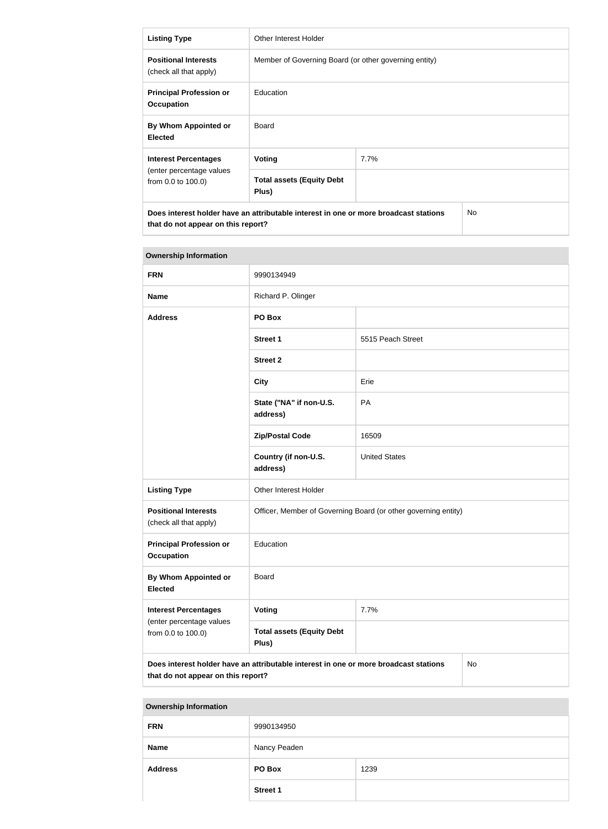| <b>Listing Type</b>                                                                                                               | Other Interest Holder                                 |      |  |
|-----------------------------------------------------------------------------------------------------------------------------------|-------------------------------------------------------|------|--|
| <b>Positional Interests</b><br>(check all that apply)                                                                             | Member of Governing Board (or other governing entity) |      |  |
| <b>Principal Profession or</b><br><b>Occupation</b>                                                                               | Education                                             |      |  |
| By Whom Appointed or<br><b>Elected</b>                                                                                            | <b>Board</b>                                          |      |  |
| <b>Interest Percentages</b><br>(enter percentage values<br>from 0.0 to 100.0)                                                     | Voting                                                | 7.7% |  |
|                                                                                                                                   | <b>Total assets (Equity Debt</b><br>Plus)             |      |  |
| Does interest holder have an attributable interest in one or more broadcast stations<br>No.<br>that do not appear on this report? |                                                       |      |  |

| <b>Ownership Information</b>                                                  |                                                                                      |                      |    |
|-------------------------------------------------------------------------------|--------------------------------------------------------------------------------------|----------------------|----|
| <b>FRN</b>                                                                    | 9990134949                                                                           |                      |    |
| <b>Name</b>                                                                   | Richard P. Olinger                                                                   |                      |    |
| <b>Address</b>                                                                | PO Box                                                                               |                      |    |
|                                                                               | <b>Street 1</b>                                                                      | 5515 Peach Street    |    |
|                                                                               | <b>Street 2</b>                                                                      |                      |    |
|                                                                               | <b>City</b>                                                                          | Erie                 |    |
|                                                                               | State ("NA" if non-U.S.<br>address)                                                  | PA                   |    |
|                                                                               | <b>Zip/Postal Code</b>                                                               | 16509                |    |
|                                                                               | Country (if non-U.S.<br>address)                                                     | <b>United States</b> |    |
| <b>Listing Type</b>                                                           | Other Interest Holder                                                                |                      |    |
| <b>Positional Interests</b><br>(check all that apply)                         | Officer, Member of Governing Board (or other governing entity)                       |                      |    |
| <b>Principal Profession or</b><br><b>Occupation</b>                           | Education                                                                            |                      |    |
| <b>By Whom Appointed or</b><br><b>Elected</b>                                 | <b>Board</b>                                                                         |                      |    |
| <b>Interest Percentages</b><br>(enter percentage values<br>from 0.0 to 100.0) | Voting                                                                               | 7.7%                 |    |
|                                                                               | <b>Total assets (Equity Debt</b><br>Plus)                                            |                      |    |
| that do not appear on this report?                                            | Does interest holder have an attributable interest in one or more broadcast stations |                      | No |

| <b>Ownership Information</b> |                 |      |
|------------------------------|-----------------|------|
| <b>FRN</b>                   | 9990134950      |      |
| <b>Name</b>                  | Nancy Peaden    |      |
| <b>Address</b>               | PO Box          | 1239 |
|                              | <b>Street 1</b> |      |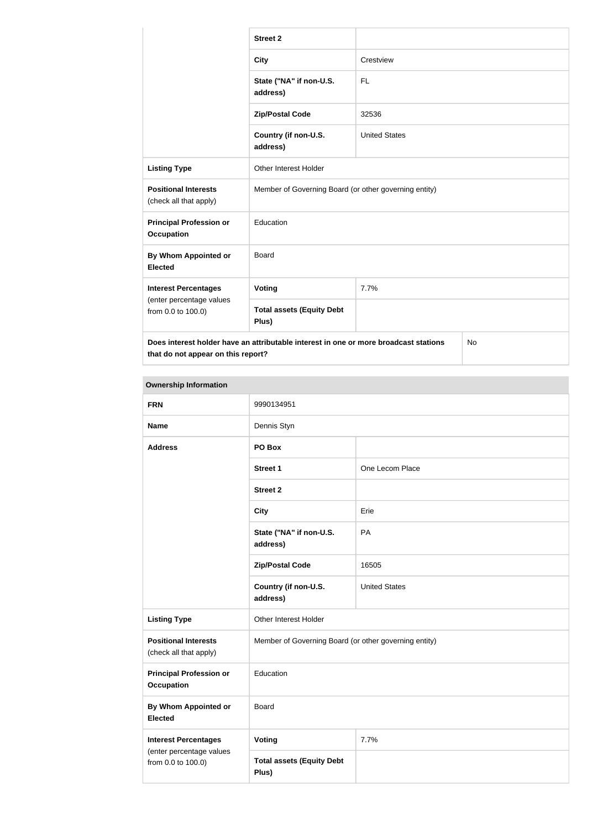|                                                                                                   | <b>Street 2</b>                                       |                      |  |
|---------------------------------------------------------------------------------------------------|-------------------------------------------------------|----------------------|--|
|                                                                                                   | <b>City</b>                                           | Crestview            |  |
|                                                                                                   | State ("NA" if non-U.S.<br>address)                   | <b>FL</b>            |  |
|                                                                                                   | <b>Zip/Postal Code</b>                                | 32536                |  |
|                                                                                                   | Country (if non-U.S.<br>address)                      | <b>United States</b> |  |
| <b>Listing Type</b>                                                                               | Other Interest Holder                                 |                      |  |
| <b>Positional Interests</b><br>(check all that apply)                                             | Member of Governing Board (or other governing entity) |                      |  |
| <b>Principal Profession or</b><br><b>Occupation</b>                                               | Education                                             |                      |  |
| <b>By Whom Appointed or</b><br><b>Elected</b>                                                     | Board                                                 |                      |  |
| <b>Interest Percentages</b><br>(enter percentage values<br>from 0.0 to 100.0)                     | Voting                                                | 7.7%                 |  |
|                                                                                                   | <b>Total assets (Equity Debt</b><br>Plus)             |                      |  |
| Does interest holder have an attributable interest in one or more broadcast stations<br><b>No</b> |                                                       |                      |  |

**that do not appear on this report?**

| <b>Ownership Information</b>                                                  |                                                       |                      |  |
|-------------------------------------------------------------------------------|-------------------------------------------------------|----------------------|--|
| <b>FRN</b>                                                                    | 9990134951                                            |                      |  |
| <b>Name</b>                                                                   | Dennis Styn                                           |                      |  |
| <b>Address</b>                                                                | PO Box                                                |                      |  |
|                                                                               | <b>Street 1</b>                                       | One Lecom Place      |  |
|                                                                               | <b>Street 2</b>                                       |                      |  |
|                                                                               | <b>City</b>                                           | Erie                 |  |
|                                                                               | State ("NA" if non-U.S.<br>address)                   | PA                   |  |
|                                                                               | <b>Zip/Postal Code</b>                                | 16505                |  |
|                                                                               | Country (if non-U.S.<br>address)                      | <b>United States</b> |  |
| <b>Listing Type</b>                                                           | Other Interest Holder                                 |                      |  |
| <b>Positional Interests</b><br>(check all that apply)                         | Member of Governing Board (or other governing entity) |                      |  |
| <b>Principal Profession or</b><br><b>Occupation</b>                           | Education                                             |                      |  |
| <b>By Whom Appointed or</b><br><b>Elected</b>                                 | Board                                                 |                      |  |
| <b>Interest Percentages</b><br>(enter percentage values<br>from 0.0 to 100.0) | <b>Voting</b>                                         | 7.7%                 |  |
|                                                                               | <b>Total assets (Equity Debt</b><br>Plus)             |                      |  |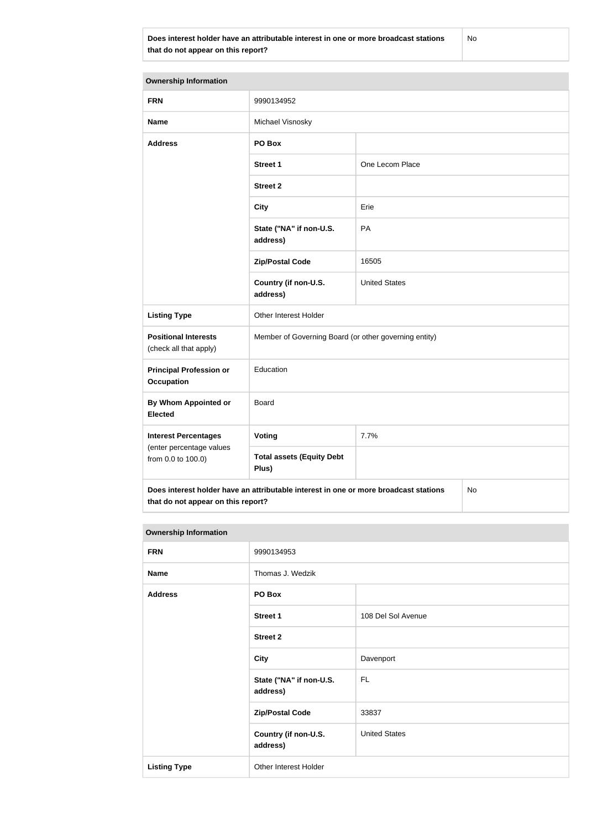**Does interest holder have an attributable interest in one or more broadcast stations that do not appear on this report?**

No

| <b>Ownership Information</b>                                                                                                     |                                                       |                      |  |  |
|----------------------------------------------------------------------------------------------------------------------------------|-------------------------------------------------------|----------------------|--|--|
| <b>FRN</b>                                                                                                                       | 9990134952                                            |                      |  |  |
| <b>Name</b>                                                                                                                      | Michael Visnosky                                      |                      |  |  |
| <b>Address</b>                                                                                                                   | PO Box                                                |                      |  |  |
|                                                                                                                                  | <b>Street 1</b>                                       | One Lecom Place      |  |  |
|                                                                                                                                  | <b>Street 2</b>                                       |                      |  |  |
|                                                                                                                                  | <b>City</b>                                           | Erie                 |  |  |
|                                                                                                                                  | State ("NA" if non-U.S.<br>address)                   | PA                   |  |  |
|                                                                                                                                  | <b>Zip/Postal Code</b>                                | 16505                |  |  |
|                                                                                                                                  | Country (if non-U.S.<br>address)                      | <b>United States</b> |  |  |
| <b>Listing Type</b>                                                                                                              | Other Interest Holder                                 |                      |  |  |
| <b>Positional Interests</b><br>(check all that apply)                                                                            | Member of Governing Board (or other governing entity) |                      |  |  |
| <b>Principal Profession or</b><br><b>Occupation</b>                                                                              | Education                                             |                      |  |  |
| <b>By Whom Appointed or</b><br><b>Elected</b>                                                                                    | <b>Board</b>                                          |                      |  |  |
| <b>Interest Percentages</b><br>(enter percentage values<br>from 0.0 to 100.0)                                                    | <b>Voting</b>                                         | 7.7%                 |  |  |
|                                                                                                                                  | <b>Total assets (Equity Debt</b><br>Plus)             |                      |  |  |
| Does interest holder have an attributable interest in one or more broadcast stations<br>No<br>that do not appear on this report? |                                                       |                      |  |  |

| <b>Ownership Information</b> |                                     |                      |  |
|------------------------------|-------------------------------------|----------------------|--|
| <b>FRN</b>                   | 9990134953                          |                      |  |
| <b>Name</b>                  | Thomas J. Wedzik                    |                      |  |
| <b>Address</b>               | PO Box                              |                      |  |
|                              | <b>Street 1</b>                     | 108 Del Sol Avenue   |  |
|                              | <b>Street 2</b>                     |                      |  |
|                              | City                                | Davenport            |  |
|                              | State ("NA" if non-U.S.<br>address) | <b>FL</b>            |  |
|                              | <b>Zip/Postal Code</b>              | 33837                |  |
|                              | Country (if non-U.S.<br>address)    | <b>United States</b> |  |
| <b>Listing Type</b>          | Other Interest Holder               |                      |  |